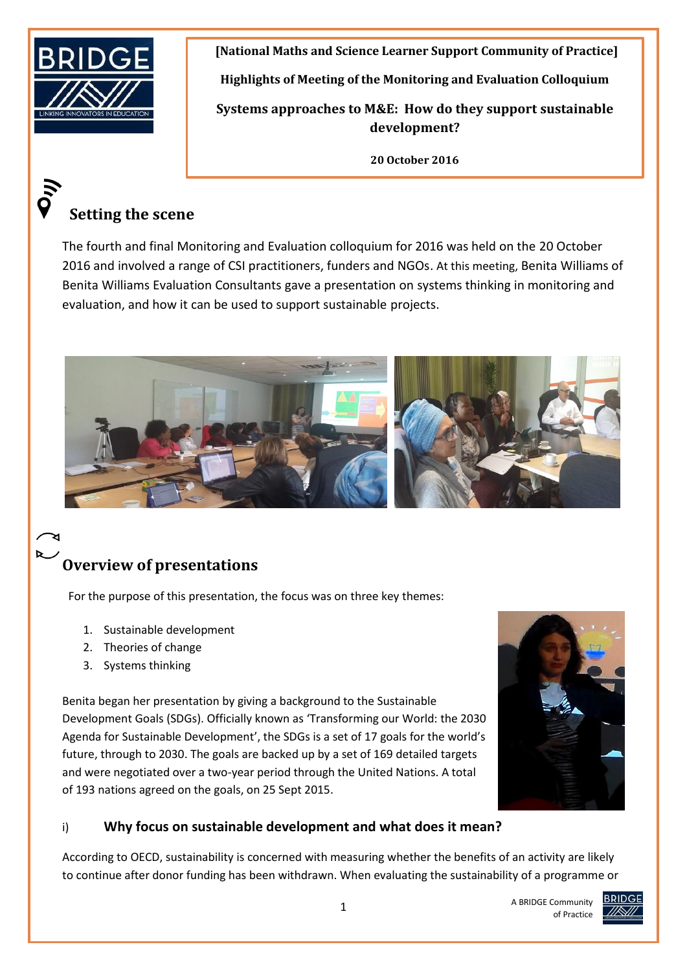

 $\ddot{\tilde{\delta}}$ 

**[National Maths and Science Learner Support Community of Practice]**

**Highlights of Meeting of the Monitoring and Evaluation Colloquium** 

**Systems approaches to M&E: How do they support sustainable development?**

**20 October 2016**

# **Setting the scene**

The fourth and final Monitoring and Evaluation colloquium for 2016 was held on the 20 October 2016 and involved a range of CSI practitioners, funders and NGOs. At this meeting, Benita Williams of Benita Williams Evaluation Consultants gave a presentation on systems thinking in monitoring and evaluation, and how it can be used to support sustainable projects.



# **Overview of presentations**

For the purpose of this presentation, the focus was on three key themes:

- 1. Sustainable development
- 2. Theories of change
- 3. Systems thinking

Benita began her presentation by giving a background to the Sustainable Development Goals (SDGs). Officially known as 'Transforming our World: the 2030 Agenda for Sustainable Development', the SDGs is a set of 17 goals for the world's future, through to 2030. The goals are backed up by a set of 169 detailed targets and were negotiated over a two-year period through the United Nations. A total of 193 nations agreed on the goals, on 25 Sept 2015.



A BRIDGE Community

of Practice

## i) **Why focus on sustainable development and what does it mean?**

According to OECD, sustainability is concerned with measuring whether the benefits of an activity are likely to continue after donor funding has been withdrawn. When evaluating the sustainability of a programme or

**BRIDGE**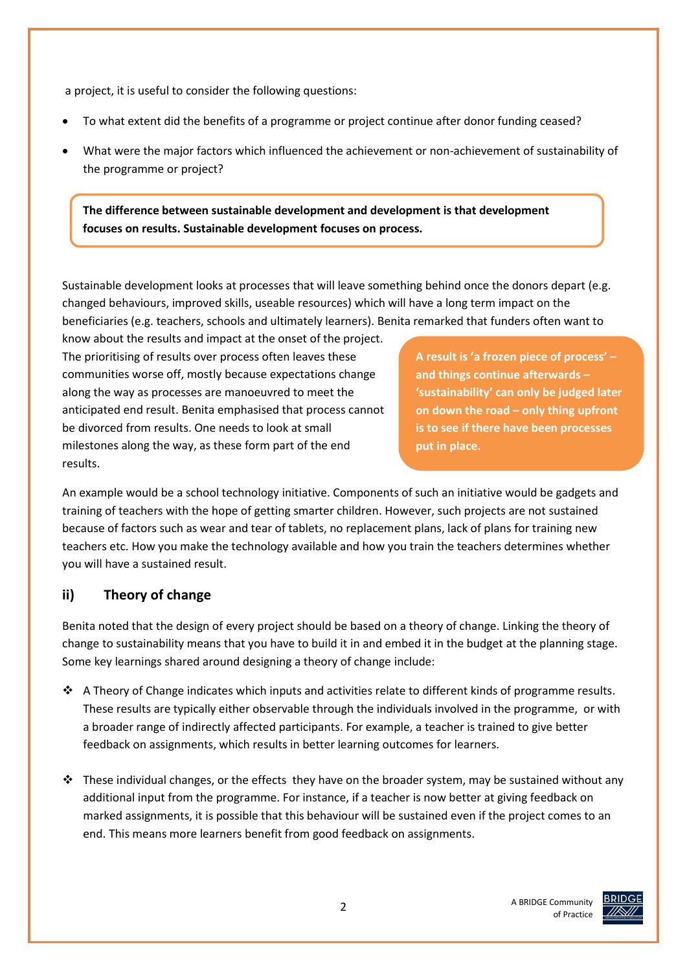a project, it is useful to consider the following questions:

- To what extent did the benefits of a programme or project continue after donor funding ceased?
- What were the major factors which influenced the achievement or non-achievement of sustainability of the programme or project?

**The difference between sustainable development and development is that development focuses on results. Sustainable development focuses on process.**

Sustainable development looks at processes that will leave something behind once the donors depart (e.g. changed behaviours, improved skills, useable resources) which will have a long term impact on the beneficiaries (e.g. teachers, schools and ultimately learners). Benita remarked that funders often want to

know about the results and impact at the onset of the project. The prioritising of results over process often leaves these communities worse off, mostly because expectations change along the way as processes are manoeuvred to meet the anticipated end result. Benita emphasised that process cannot be divorced from results. One needs to look at small milestones along the way, as these form part of the end results.

**A result is 'a frozen piece of process' – and things continue afterwards – 'sustainability' can only be judged later on down the road – only thing upfront is to see if there have been processes put in place.**

An example would be a school technology initiative. Components of such an initiative would be gadgets and training of teachers with the hope of getting smarter children. However, such projects are not sustained because of factors such as wear and tear of tablets, no replacement plans, lack of plans for training new teachers etc. How you make the technology available and how you train the teachers determines whether you will have a sustained result.

## **ii) Theory of change**

Benita noted that the design of every project should be based on a theory of change. Linking the theory of change to sustainability means that you have to build it in and embed it in the budget at the planning stage. Some key learnings shared around designing a theory of change include:

- $\bullet$  A Theory of Change indicates which inputs and activities relate to different kinds of programme results. These results are typically either observable through the individuals involved in the programme, or with a broader range of indirectly affected participants. For example, a teacher is trained to give better feedback on assignments, which results in better learning outcomes for learners.
- $\cdot \cdot$  These individual changes, or the effects they have on the broader system, may be sustained without any additional input from the programme. For instance, if a teacher is now better at giving feedback on marked assignments, it is possible that this behaviour will be sustained even if the project comes to an end. This means more learners benefit from good feedback on assignments.

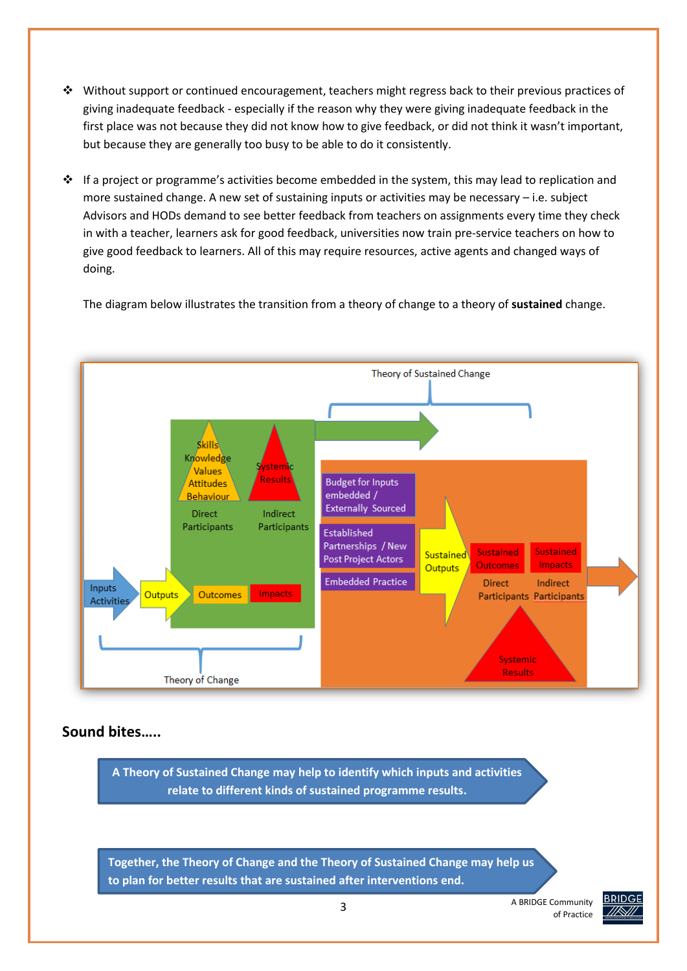- $\cdot \cdot$  Without support or continued encouragement, teachers might regress back to their previous practices of giving inadequate feedback - especially if the reason why they were giving inadequate feedback in the first place was not because they did not know how to give feedback, or did not think it wasn't important, but because they are generally too busy to be able to do it consistently.
- $\cdot \cdot$  If a project or programme's activities become embedded in the system, this may lead to replication and more sustained change. A new set of sustaining inputs or activities may be necessary – i.e. subject Advisors and HODs demand to see better feedback from teachers on assignments every time they check in with a teacher, learners ask for good feedback, universities now train pre-service teachers on how to give good feedback to learners. All of this may require resources, active agents and changed ways of doing.

The diagram below illustrates the transition from a theory of change to a theory of **sustained** change.



#### **Sound bites…..**

**A Theory of Sustained Change may help to identify which inputs and activities relate to different kinds of sustained programme results.**

**Together, the Theory of Change and the Theory of Sustained Change may help us to plan for better results that are sustained after interventions end.** 

> A BRIDGE Community of Practice

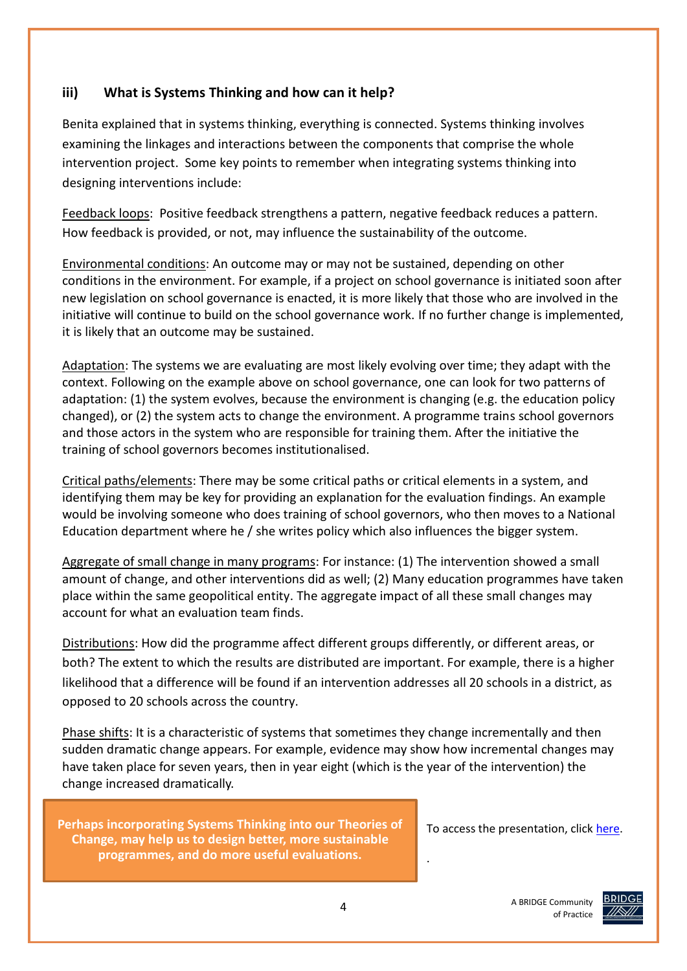#### **iii) What is Systems Thinking and how can it help?**

Benita explained that in systems thinking, everything is connected. Systems thinking involves examining the linkages and interactions between the components that comprise the whole intervention project. Some key points to remember when integrating systems thinking into designing interventions include:

Feedback loops: Positive feedback strengthens a pattern, negative feedback reduces a pattern. How feedback is provided, or not, may influence the sustainability of the outcome.

Environmental conditions: An outcome may or may not be sustained, depending on other conditions in the environment. For example, if a project on school governance is initiated soon after new legislation on school governance is enacted, it is more likely that those who are involved in the initiative will continue to build on the school governance work. If no further change is implemented, it is likely that an outcome may be sustained.

Adaptation: The systems we are evaluating are most likely evolving over time; they adapt with the context. Following on the example above on school governance, one can look for two patterns of adaptation: (1) the system evolves, because the environment is changing (e.g. the education policy changed), or (2) the system acts to change the environment. A programme trains school governors and those actors in the system who are responsible for training them. After the initiative the training of school governors becomes institutionalised.

Critical paths/elements: There may be some critical paths or critical elements in a system, and identifying them may be key for providing an explanation for the evaluation findings. An example would be involving someone who does training of school governors, who then moves to a National Education department where he / she writes policy which also influences the bigger system.

Aggregate of small change in many programs: For instance: (1) The intervention showed a small amount of change, and other interventions did as well; (2) Many education programmes have taken place within the same geopolitical entity. The aggregate impact of all these small changes may account for what an evaluation team finds.

Distributions: How did the programme affect different groups differently, or different areas, or both? The extent to which the results are distributed are important. For example, there is a higher likelihood that a difference will be found if an intervention addresses all 20 schools in a district, as opposed to 20 schools across the country.

Phase shifts: It is a characteristic of systems that sometimes they change incrementally and then sudden dramatic change appears. For example, evidence may show how incremental changes may have taken place for seven years, then in year eight (which is the year of the intervention) the change increased dramatically.

**Perhaps incorporating Systems Thinking into our Theories of Change, may help us to design better, more sustainable programmes, and do more useful evaluations.** 

To access the presentation, clic[k here.](http://www.bridge.org.za/knowledgehub/systems-thinking-in-me/)



.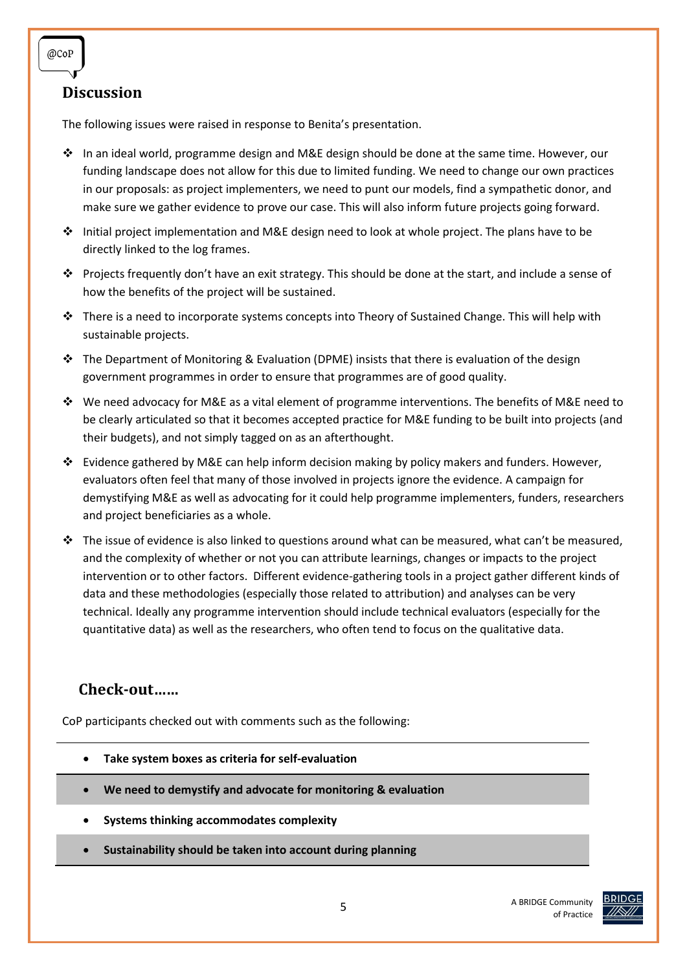## **Discussion**

The following issues were raised in response to Benita's presentation.

- In an ideal world, programme design and M&E design should be done at the same time. However, our funding landscape does not allow for this due to limited funding. We need to change our own practices in our proposals: as project implementers, we need to punt our models, find a sympathetic donor, and make sure we gather evidence to prove our case. This will also inform future projects going forward.
- $\cdot \cdot$  Initial project implementation and M&E design need to look at whole project. The plans have to be directly linked to the log frames.
- Projects frequently don't have an exit strategy. This should be done at the start, and include a sense of how the benefits of the project will be sustained.
- $\cdot \cdot$  There is a need to incorporate systems concepts into Theory of Sustained Change. This will help with sustainable projects.
- $\cdot \cdot$  The Department of Monitoring & Evaluation (DPME) insists that there is evaluation of the design government programmes in order to ensure that programmes are of good quality.
- $\cdot \cdot$  We need advocacy for M&E as a vital element of programme interventions. The benefits of M&E need to be clearly articulated so that it becomes accepted practice for M&E funding to be built into projects (and their budgets), and not simply tagged on as an afterthought.
- $\cdot \cdot$  Evidence gathered by M&E can help inform decision making by policy makers and funders. However, evaluators often feel that many of those involved in projects ignore the evidence. A campaign for demystifying M&E as well as advocating for it could help programme implementers, funders, researchers and project beneficiaries as a whole.
- $\div$  The issue of evidence is also linked to questions around what can be measured, what can't be measured, and the complexity of whether or not you can attribute learnings, changes or impacts to the project intervention or to other factors. Different evidence-gathering tools in a project gather different kinds of data and these methodologies (especially those related to attribution) and analyses can be very technical. Ideally any programme intervention should include technical evaluators (especially for the quantitative data) as well as the researchers, who often tend to focus on the qualitative data.

## **Check-out……**

CoP participants checked out with comments such as the following:

- **Take system boxes as criteria for self-evaluation**
- **We need to demystify and advocate for monitoring & evaluation**
- **Systems thinking accommodates complexity**
- **Sustainability should be taken into account during planning**



@CoP